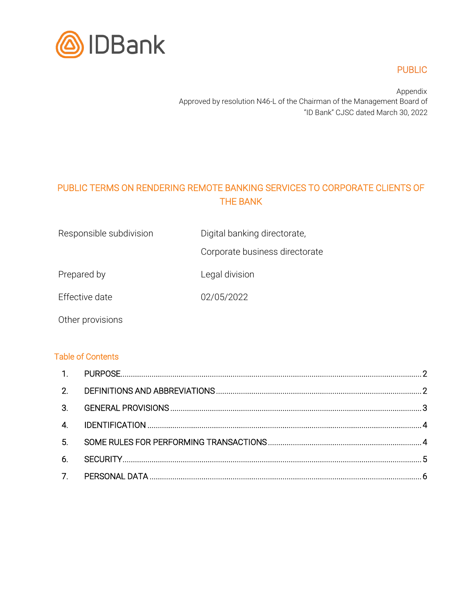

## PUBLIC

Appendix Approved by resolution N46-L of the Chairman of the Management Board of "ID Bank" CJSC dated March 30, 2022

# PUBLIC TERMS ON RENDERING REMOTE BANKING SERVICES TO CORPORATE CLIENTS OF THE BANK

Corporate business directorate

Prepared by **Legal division** 

Effective date 02/05/2022

Other provisions

#### Table of Contents

| 6. |  |
|----|--|
|    |  |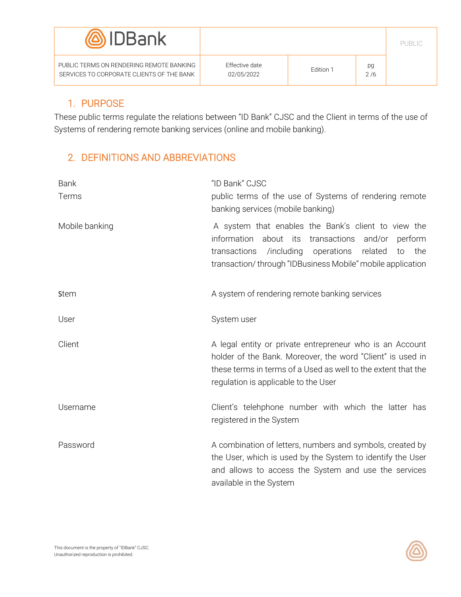| <b>(@)</b> IDBank                                                                     |                              |           |           |  |
|---------------------------------------------------------------------------------------|------------------------------|-----------|-----------|--|
| PUBLIC TERMS ON RENDERING REMOTE BANKING<br>SERVICES TO CORPORATE CLIENTS OF THE BANK | Effective date<br>02/05/2022 | Edition 1 | pg<br>2/6 |  |

#### <span id="page-1-0"></span>1. PURPOSE

These public terms regulate the relations between "ID Bank" CJSC and the Client in terms of the use of Systems of rendering remote banking services (online and mobile banking).

### <span id="page-1-1"></span>2. DEFINITIONS AND ABBREVIATIONS

| <b>Bank</b><br>Terms | "ID Bank" CJSC<br>public terms of the use of Systems of rendering remote<br>banking services (mobile banking)                                                                                                                                          |  |  |
|----------------------|--------------------------------------------------------------------------------------------------------------------------------------------------------------------------------------------------------------------------------------------------------|--|--|
| Mobile banking       | A system that enables the Bank's client to view the<br>information<br>about its<br>transactions<br>and/or<br>perform<br>/including<br>transactions<br>operations<br>related<br>the<br>to<br>transaction/through "IDBusiness Mobile" mobile application |  |  |
| <b>Stem</b>          | A system of rendering remote banking services                                                                                                                                                                                                          |  |  |
| User                 | System user                                                                                                                                                                                                                                            |  |  |
| Client               | A legal entity or private entrepreneur who is an Account<br>holder of the Bank. Moreover, the word "Client" is used in<br>these terms in terms of a Used as well to the extent that the<br>regulation is applicable to the User                        |  |  |
| Username             | Client's telehphone number with which the latter has<br>registered in the System                                                                                                                                                                       |  |  |
| Password             | A combination of letters, numbers and symbols, created by<br>the User, which is used by the System to identify the User<br>and allows to access the System and use the services<br>available in the System                                             |  |  |

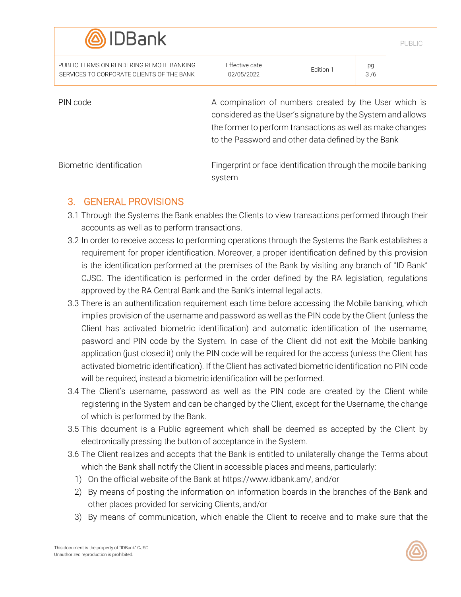| <b>(@)</b> IDBank                                                                                                                                                                                                                                    |                                                                         |           |           | PUBLIC |  |
|------------------------------------------------------------------------------------------------------------------------------------------------------------------------------------------------------------------------------------------------------|-------------------------------------------------------------------------|-----------|-----------|--------|--|
| PUBLIC TERMS ON RENDERING REMOTE BANKING<br>SERVICES TO CORPORATE CLIENTS OF THE BANK                                                                                                                                                                | <b>Effective date</b><br>02/05/2022                                     | Fdition 1 | pg<br>3/6 |        |  |
| A compination of numbers created by the User which is<br>PIN code<br>considered as the User's signature by the System and allows<br>the former to perform transactions as well as make changes<br>to the Password and other data defined by the Bank |                                                                         |           |           |        |  |
| Biometric identification                                                                                                                                                                                                                             | Fingerprint or face identification through the mobile banking<br>system |           |           |        |  |

#### <span id="page-2-0"></span>3. GENERAL PROVISIONS

- 3.1 Through the Systems the Bank enables the Clients to view transactions performed through their accounts as well as to perform transactions.
- 3.2 In order to receive access to performing operations through the Systems the Bank establishes a requirement for proper identification. Moreover, a proper identification defined by this provision is the identification performed at the premises of the Bank by visiting any branch of "ID Bank" CJSC. The identification is performed in the order defined by the RA legislation, regulations approved by the RA Central Bank and the Bank's internal legal acts.
- 3.3 There is an authentification requirement each time before accessing the Mobile banking, which implies provision of the username and password as well as the PIN code by the Client (unless the Client has activated biometric identification) and automatic identification of the username, pasword and PIN code by the System. In case of the Client did not exit the Mobile banking application (just closed it) only the PIN code will be required for the access (unless the Client has activated biometric identification). If the Client has activated biometric identification no PIN code will be required, instead a biometric identification will be performed.
- 3.4 The Client's username, password as well as the PIN code are created by the Client while registering in the System and can be changed by the Client, except for the Username, the change of which is performed by the Bank.
- 3.5 This document is a Public agreement which shall be deemed as accepted by the Client by electronically pressing the button of acceptance in the System.
- 3.6 The Client realizes and accepts that the Bank is entitled to unilaterally change the Terms about which the Bank shall notify the Client in accessible places and means, particularly:
	- 1) On the official website of the Bank a[t https://www.idbank.am/,](https://www.idbank.am/) and/or
	- 2) By means of posting the information on information boards in the branches of the Bank and other places provided for servicing Clients, and/or
	- 3) By means of communication, which enable the Client to receive and to make sure that the

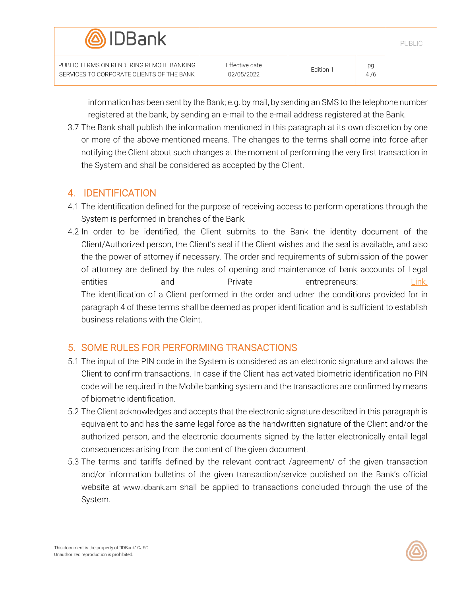| <b><i>AIDBank</i></b>                                                                 |                                     |           |           |  |
|---------------------------------------------------------------------------------------|-------------------------------------|-----------|-----------|--|
| PUBLIC TERMS ON RENDERING REMOTE BANKING<br>SERVICES TO CORPORATE CLIENTS OF THE BANK | <b>Effective date</b><br>02/05/2022 | Fdition 1 | pg<br>4/6 |  |

information has been sent by the Bank; e.g. by mail, by sending an SMS to the telephone number registered at the bank, by sending an e-mail to the e-mail address registered at the Bank.

3.7 The Bank shall publish the information mentioned in this paragraph at its own discretion by one or more of the above-mentioned means. The changes to the terms shall come into force after notifying the Client about such changes at the moment of performing the very first transaction in the System and shall be considered as accepted by the Client.

#### <span id="page-3-0"></span>4. IDENTIFICATION

- 4.1 The identification defined for the purpose of receiving access to perform operations through the System is performed in branches of the Bank.
- 4.2 In order to be identified, the Client submits to the Bank the identity document of the Client/Authorized person, the Client's seal if the Client wishes and the seal is available, and also the the power of attorney if necessary. The order and requirements of submission of the power of attorney are defined by the rules of opening and maintenance of bank accounts of Legal entities and Private entrepreneurs: [Link.](https://idbank.am/upload/iblock/9ad/zkdeaezvyzu530a5s5v5av8zczskq1hs/FO_0230_VSH_13012022_02_Rules.pdf) The identification of a Client performed in the order and udner the conditions provided for in paragraph 4 of these terms shall be deemed as proper identification and is sufficient to establish business relations with the Cleint.

### <span id="page-3-1"></span>5. SOME RULES FOR PERFORMING TRANSACTIONS

- 5.1 The input of the PIN code in the System is considered as an electronic signature and allows the Client to confirm transactions. In case if the Client has activated biometric identification no PIN code will be required in the Mobile banking system and the transactions are confirmed by means of biometric identification.
- 5.2 The Client acknowledges and accepts that the electronic signature described in this paragraph is equivalent to and has the same legal force as the handwritten signature of the Client and/or the authorized person, and the electronic documents signed by the latter electronically entail legal consequences arising from the content of the given document.
- 5.3 The terms and tariffs defined by the relevant contract /agreement/ of the given transaction and/or information bulletins of the given transaction/service published on the Bank's official website at [www.idbank.am](http://www.idbank.am/) shall be applied to transactions concluded through the use of the System.

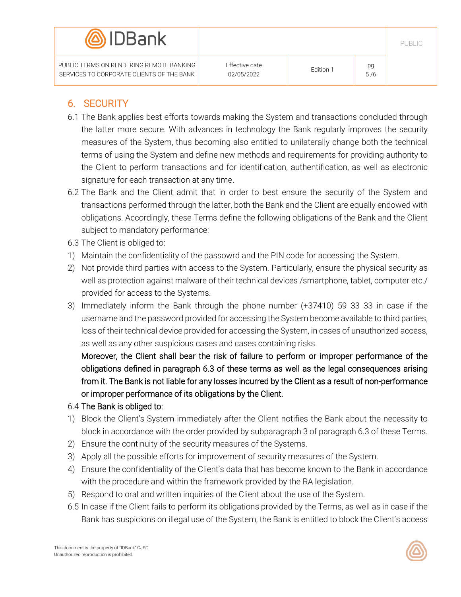

PUBLIC TERMS ON RENDERING REMOTE BANKING SERVICES TO CORPORATE CLIENTS OF THE BANK PUBLIC

# <span id="page-4-0"></span>6. SECURITY

- 6.1 The Bank applies best efforts towards making the System and transactions concluded through the latter more secure. With advances in technology the Bank regularly improves the security measures of the System, thus becoming also entitled to unilaterally change both the technical terms of using the System and define new methods and requirements for providing authority to the Client to perform transactions and for identification, authentification, as well as electronic signature for each transaction at any time.
- 6.2 The Bank and the Client admit that in order to best ensure the security of the System and transactions performed through the latter, both the Bank and the Client are equally endowed with obligations. Accordingly, these Terms define the following obligations of the Bank and the Client subject to mandatory performance:
- 6.3 The Client is obliged to:
- 1) Maintain the confidentiality of the passowrd and the PIN code for accessing the System.
- 2) Not provide third parties with access to the System. Particularly, ensure the physical security as well as protection against malware of their technical devices /smartphone, tablet, computer etc./ provided for access to the Systems.
- 3) Immediately inform the Bank through the phone number (+37410) 59 33 33 in case if the username and the password provided for accessing the System become available to third parties, loss of their technical device provided for accessing the System, in cases of unauthorized access, as well as any other suspicious cases and cases containing risks.

Moreover, the Client shall bear the risk of failure to perform or improper performance of the obligations defined in paragraph 6.3 of these terms as well as the legal consequences arising from it. The Bank is not liable for any losses incurred by the Client as a result of non-performance or improper performance of its obligations by the Client.

- 6.4 The Bank is obliged to:
- 1) Block the Client's System immediately after the Client notifies the Bank about the necessity to block in accordance with the order provided by subparagraph 3 of paragraph 6.3 of these Terms.
- 2) Ensure the continuity of the security measures of the Systems.
- 3) Apply all the possible efforts for improvement of security measures of the System.
- 4) Ensure the confidentiality of the Client's data that has become known to the Bank in accordance with the procedure and within the framework provided by the RA legislation.
- 5) Respond to oral and written inquiries of the Client about the use of the System.
- 6.5 In case if the Client fails to perform its obligations provided by the Terms, as well as in case if the Bank has suspicions on illegal use of the System, the Bank is entitled to block the Client's access